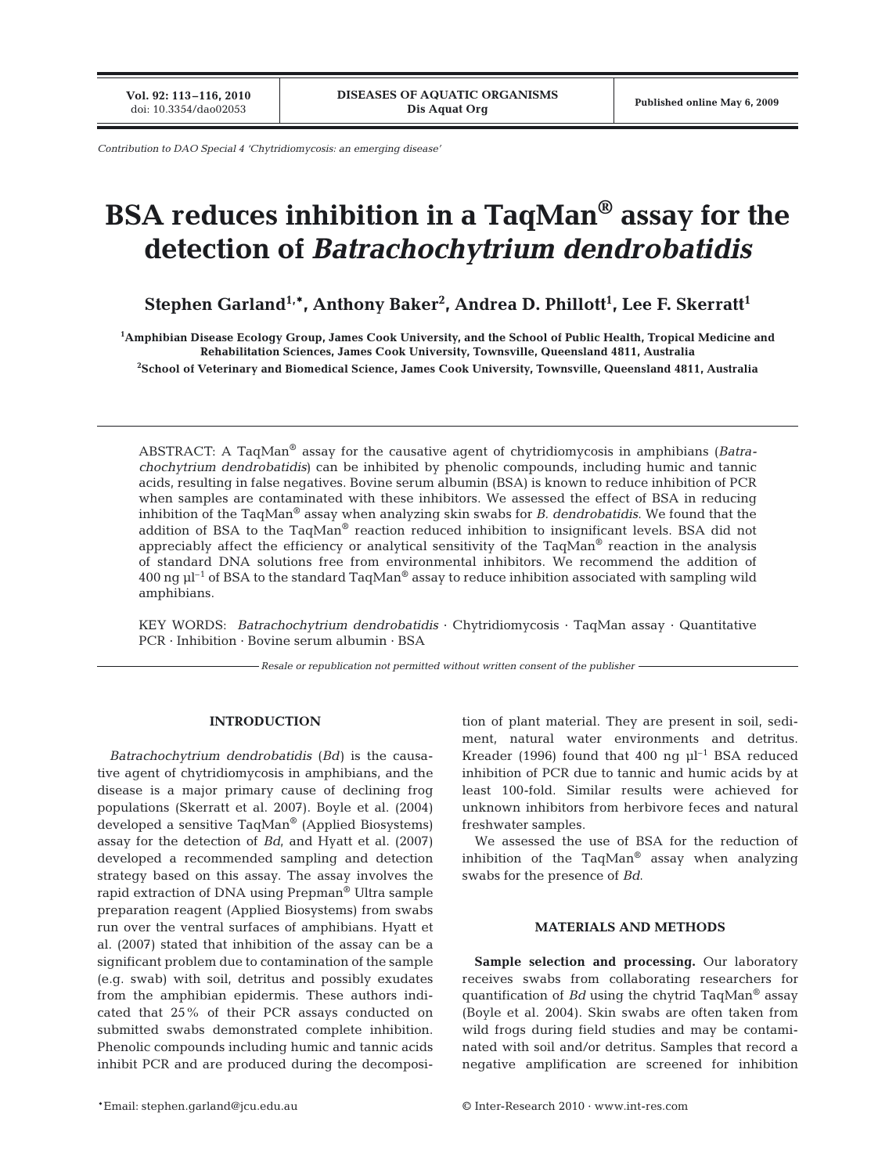**Vol. 92: 113–116, 2010**

*Contribution to DAO Special 4 'Chytridiomycosis: an emerging disease'*

# **BSA reduces inhibition in a TaqMan® assay for the detection of** *Batrachochytrium dendrobatidis*

**Stephen Garland1,\*, Anthony Baker2 , Andrea D. Phillott1 , Lee F. Skerratt1**

**1 Amphibian Disease Ecology Group, James Cook University, and the School of Public Health, Tropical Medicine and Rehabilitation Sciences, James Cook University, Townsville, Queensland 4811, Australia 2 School of Veterinary and Biomedical Science, James Cook University, Townsville, Queensland 4811, Australia**

ABSTRACT: A TaqMan® assay for the causative agent of chytridiomycosis in amphibians (*Batrachochytrium dendrobatidis*) can be inhibited by phenolic compounds, including humic and tannic acids, resulting in false negatives. Bovine serum albumin (BSA) is known to reduce inhibition of PCR when samples are contaminated with these inhibitors. We assessed the effect of BSA in reducing inhibition of the TaqMan® assay when analyzing skin swabs for *B. dendrobatidis*. We found that the addition of BSA to the TaqMan® reaction reduced inhibition to insignificant levels. BSA did not appreciably affect the efficiency or analytical sensitivity of the TaqMan<sup>®</sup> reaction in the analysis of standard DNA solutions free from environmental inhibitors. We recommend the addition of 400 ng  $\mu$ <sup>1</sup> of BSA to the standard TaqMan<sup>®</sup> assay to reduce inhibition associated with sampling wild amphibians.

KEY WORDS: *Batrachochytrium dendrobatidis* · Chytridiomycosis · TaqMan assay · Quantitative PCR · Inhibition · Bovine serum albumin · BSA

*Resale or republication not permitted without written consent of the publisher*

# **INTRODUCTION**

*Batrachochytrium dendrobatidis* (*Bd*) is the causative agent of chytridiomycosis in amphibians, and the disease is a major primary cause of declining frog populations (Skerratt et al. 2007). Boyle et al. (2004) developed a sensitive TaqMan® (Applied Biosystems) assay for the detection of *Bd*, and Hyatt et al. (2007) developed a recommended sampling and detection strategy based on this assay. The assay involves the rapid extraction of DNA using Prepman® Ultra sample preparation reagent (Applied Biosystems) from swabs run over the ventral surfaces of amphibians. Hyatt et al. (2007) stated that inhibition of the assay can be a significant problem due to contamination of the sample (e.g. swab) with soil, detritus and possibly exudates from the amphibian epidermis. These authors indicated that 25% of their PCR assays conducted on submitted swabs demonstrated complete inhibition. Phenolic compounds including humic and tannic acids inhibit PCR and are produced during the decomposition of plant material. They are present in soil, sediment, natural water environments and detritus. Kreader (1996) found that 400 ng  $\mu$ <sup>-1</sup> BSA reduced inhibition of PCR due to tannic and humic acids by at least 100-fold. Similar results were achieved for unknown inhibitors from herbivore feces and natural freshwater samples.

We assessed the use of BSA for the reduction of inhibition of the  $TaqMan^{\otimes}$  assay when analyzing swabs for the presence of *Bd*.

# **MATERIALS AND METHODS**

**Sample selection and processing.** Our laboratory receives swabs from collaborating researchers for quantification of *Bd* using the chytrid TaqMan® assay (Boyle et al. 2004). Skin swabs are often taken from wild frogs during field studies and may be contaminated with soil and/or detritus. Samples that record a negative amplification are screened for inhibition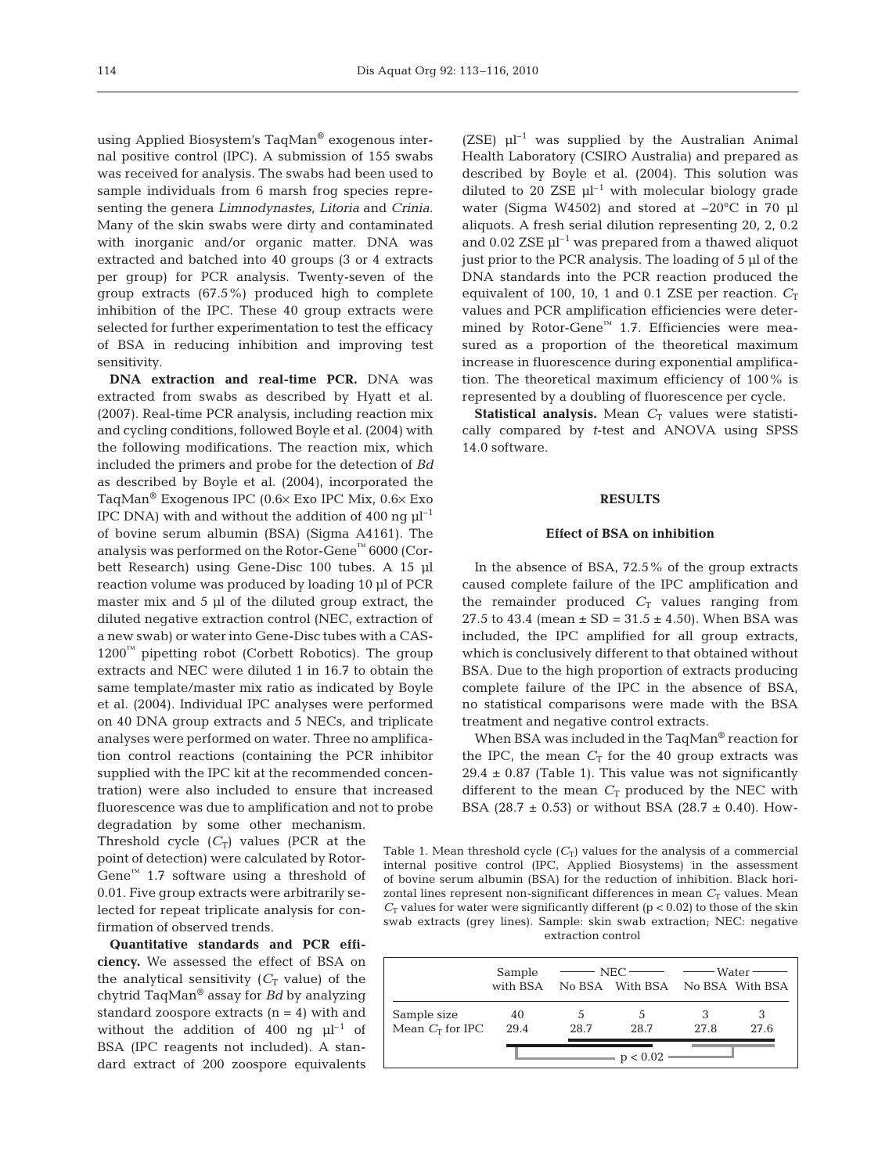using Applied Biosystem's TaqMan® exogenous internal positive control (IPC). A submission of 155 swabs was received for analysis. The swabs had been used to sample individuals from 6 marsh frog species representing the genera *Limnodynastes*, *Litoria* and *Crinia*. Many of the skin swabs were dirty and contaminated with inorganic and/or organic matter. DNA was extracted and batched into 40 groups (3 or 4 extracts per group) for PCR analysis. Twenty-seven of the group extracts (67.5%) produced high to complete inhibition of the IPC. These 40 group extracts were selected for further experimentation to test the efficacy of BSA in reducing inhibition and improving test sensitivity.

**DNA extraction and real-time PCR.** DNA was extracted from swabs as described by Hyatt et al. (2007). Real-time PCR analysis, including reaction mix and cycling conditions, followed Boyle et al. (2004) with the following modifications. The reaction mix, which included the primers and probe for the detection of *Bd* as described by Boyle et al. (2004), incorporated the TaqMan® Exogenous IPC (0.6× Exo IPC Mix, 0.6× Exo IPC DNA) with and without the addition of 400 ng  $\mu$ <sup>-1</sup> of bovine serum albumin (BSA) (Sigma A4161). The analysis was performed on the Rotor-Gene™ 6000 (Corbett Research) using Gene-Disc 100 tubes. A 15 µl reaction volume was produced by loading 10 µl of PCR master mix and 5 µl of the diluted group extract, the diluted negative extraction control (NEC, extraction of a new swab) or water into Gene-Disc tubes with a CAS- $1200<sup>™</sup>$  pipetting robot (Corbett Robotics). The group extracts and NEC were diluted 1 in 16.7 to obtain the same template/master mix ratio as indicated by Boyle et al. (2004). Individual IPC analyses were performed on 40 DNA group extracts and 5 NECs, and triplicate analyses were performed on water. Three no amplification control reactions (containing the PCR inhibitor supplied with the IPC kit at the recommended concentration) were also included to ensure that increased fluorescence was due to amplification and not to probe

degradation by some other mechanism. Threshold cycle  $(C_T)$  values (PCR at the point of detection) were calculated by Rotor-Gene<sup>™</sup> 1.7 software using a threshold of 0.01. Five group extracts were arbitrarily selected for repeat triplicate analysis for confirmation of observed trends.

**Quantitative standards and PCR efficiency.** We assessed the effect of BSA on the analytical sensitivity  $(C_T$  value) of the chytrid TaqMan® assay for *Bd* by analyzing standard zoospore extracts  $(n = 4)$  with and without the addition of 400 ng  $\mu$ l<sup>-1</sup> of BSA (IPC reagents not included). A standard extract of 200 zoospore equivalents

(ZSE)  $\mu$ l<sup>-1</sup> was supplied by the Australian Animal Health Laboratory (CSIRO Australia) and prepared as described by Boyle et al. (2004). This solution was diluted to 20 ZSE  $\mu$ l<sup>-1</sup> with molecular biology grade water (Sigma W4502) and stored at –20°C in 70 µl aliquots. A fresh serial dilution representing 20, 2, 0.2 and 0.02 ZSE  $\mu$ <sup>-1</sup> was prepared from a thawed aliquot just prior to the PCR analysis. The loading of 5 µl of the DNA standards into the PCR reaction produced the equivalent of 100, 10, 1 and 0.1 ZSE per reaction.  $C_T$ values and PCR amplification efficiencies were determined by Rotor-Gene™ 1.7. Efficiencies were measured as a proportion of the theoretical maximum increase in fluorescence during exponential amplification. The theoretical maximum efficiency of 100% is represented by a doubling of fluorescence per cycle.

**Statistical analysis.** Mean  $C_T$  values were statistically compared by *t*-test and ANOVA using SPSS 14.0 software.

## **RESULTS**

#### **Effect of BSA on inhibition**

In the absence of BSA, 72.5% of the group extracts caused complete failure of the IPC amplification and the remainder produced  $C_T$  values ranging from 27.5 to 43.4 (mean  $\pm$  SD = 31.5  $\pm$  4.50). When BSA was included, the IPC amplified for all group extracts, which is conclusively different to that obtained without BSA. Due to the high proportion of extracts producing complete failure of the IPC in the absence of BSA, no statistical comparisons were made with the BSA treatment and negative control extracts.

When BSA was included in the TaqMan® reaction for the IPC, the mean  $C_T$  for the 40 group extracts was  $29.4 \pm 0.87$  (Table 1). This value was not significantly different to the mean  $C_T$  produced by the NEC with BSA (28.7  $\pm$  0.53) or without BSA (28.7  $\pm$  0.40). How-

Table 1. Mean threshold cycle  $(C_T)$  values for the analysis of a commercial internal positive control (IPC, Applied Biosystems) in the assessment of bovine serum albumin (BSA) for the reduction of inhibition. Black horizontal lines represent non-significant differences in mean  $C<sub>T</sub>$  values. Mean  $C_T$  values for water were significantly different ( $p < 0.02$ ) to those of the skin swab extracts (grey lines). Sample: skin swab extraction; NEC: negative extraction control

|                    | Sample   |      | $NEC$ $-$                       | Water · |      |  |  |  |
|--------------------|----------|------|---------------------------------|---------|------|--|--|--|
|                    | with BSA |      | No BSA With BSA No BSA With BSA |         |      |  |  |  |
| Sample size        | 40       |      | .5                              |         |      |  |  |  |
| Mean $C_T$ for IPC | 29.4     | 28.7 | 28.7                            | 27.8    | 27.6 |  |  |  |
|                    | p < 0.02 |      |                                 |         |      |  |  |  |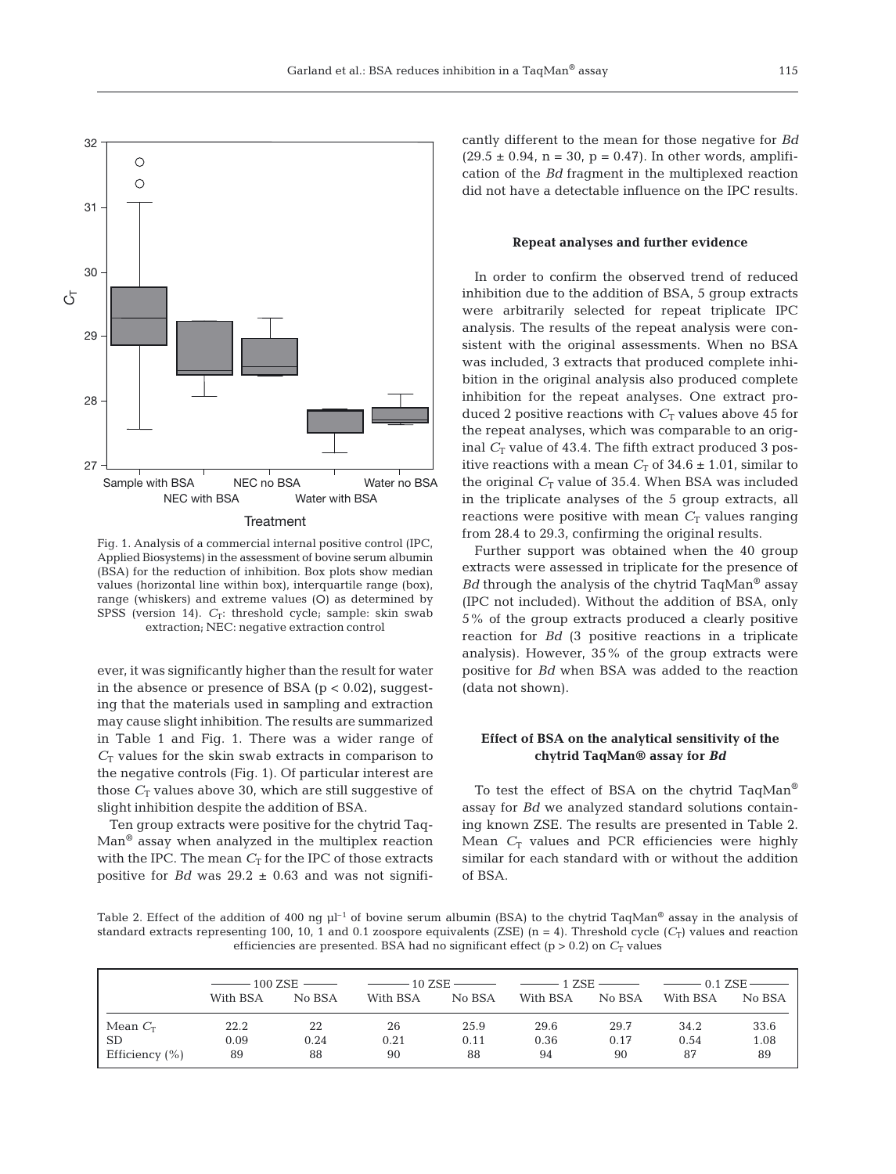

Fig. 1. Analysis of a commercial internal positive control (IPC, Applied Biosystems) in the assessment of bovine serum albumin (BSA) for the reduction of inhibition. Box plots show median values (horizontal line within box), interquartile range (box), range (whiskers) and extreme values (O) as determined by SPSS (version 14).  $C_T$ : threshold cycle; sample: skin swab extraction; NEC: negative extraction control

ever, it was significantly higher than the result for water in the absence or presence of BSA ( $p < 0.02$ ), suggesting that the materials used in sampling and extraction may cause slight inhibition. The results are summarized in Table 1 and Fig. 1. There was a wider range of  $C_T$  values for the skin swab extracts in comparison to the negative controls (Fig. 1). Of particular interest are those  $C_T$  values above 30, which are still suggestive of slight inhibition despite the addition of BSA.

Ten group extracts were positive for the chytrid Taq-Man® assay when analyzed in the multiplex reaction with the IPC. The mean  $C_T$  for the IPC of those extracts positive for *Bd* was  $29.2 \pm 0.63$  and was not significantly different to the mean for those negative for *Bd*  $(29.5 \pm 0.94, n = 30, p = 0.47)$ . In other words, amplification of the *Bd* fragment in the multiplexed reaction did not have a detectable influence on the IPC results.

#### **Repeat analyses and further evidence**

In order to confirm the observed trend of reduced inhibition due to the addition of BSA, 5 group extracts were arbitrarily selected for repeat triplicate IPC analysis. The results of the repeat analysis were consistent with the original assessments. When no BSA was included, 3 extracts that produced complete inhibition in the original analysis also produced complete inhibition for the repeat analyses. One extract produced 2 positive reactions with  $C_T$  values above 45 for the repeat analyses, which was comparable to an original  $C_T$  value of 43.4. The fifth extract produced 3 positive reactions with a mean  $C_T$  of 34.6  $\pm$  1.01, similar to the original  $C_T$  value of 35.4. When BSA was included in the triplicate analyses of the 5 group extracts, all reactions were positive with mean  $C<sub>T</sub>$  values ranging from 28.4 to 29.3, confirming the original results.

Further support was obtained when the 40 group extracts were assessed in triplicate for the presence of *Bd* through the analysis of the chytrid TaqMan® assay (IPC not included). Without the addition of BSA, only 5% of the group extracts produced a clearly positive reaction for *Bd* (3 positive reactions in a triplicate analysis). However, 35% of the group extracts were positive for *Bd* when BSA was added to the reaction (data not shown).

# **Effect of BSA on the analytical sensitivity of the chytrid TaqMan® assay for** *Bd*

To test the effect of BSA on the chytrid TaqMan® assay for *Bd* we analyzed standard solutions containing known ZSE. The results are presented in Table 2. Mean  $C_T$  values and PCR efficiencies were highly similar for each standard with or without the addition of BSA.

Table 2. Effect of the addition of 400 ng  $\mu$ <sup>-1</sup> of bovine serum albumin (BSA) to the chytrid TaqMan<sup>®</sup> assay in the analysis of standard extracts representing 100, 10, 1 and 0.1 zoospore equivalents (ZSE) (n = 4). Threshold cycle ( $C_T$ ) values and reaction efficiencies are presented. BSA had no significant effect ( $p > 0.2$ ) on  $C<sub>T</sub>$  values

|                |          |        | $\frac{1}{2}$ = 100 ZSE $\frac{1}{2}$ = $\frac{1}{2}$ = $\frac{1}{2}$ = $\frac{1}{2}$ = $\frac{1}{2}$ = $\frac{1}{2}$ = $\frac{1}{2}$ = $\frac{1}{2}$ = $\frac{1}{2}$ = $\frac{1}{2}$ = $\frac{1}{2}$ = $\frac{1}{2}$ = $\frac{1}{2}$ = $\frac{1}{2}$ = $\frac{1}{2}$ = $\frac{1}{2}$ = $\frac{1}{2}$ |        |          |        |          |        |
|----------------|----------|--------|-------------------------------------------------------------------------------------------------------------------------------------------------------------------------------------------------------------------------------------------------------------------------------------------------------|--------|----------|--------|----------|--------|
|                | With BSA | No BSA | With BSA                                                                                                                                                                                                                                                                                              | No BSA | With BSA | No BSA | With BSA | No BSA |
| Mean $C_T$     | 22.2     | 22     | 26                                                                                                                                                                                                                                                                                                    | 25.9   | 29.6     | 29.7   | 34.2     | 33.6   |
| SD.            | 0.09     | 0.24   | 0.21                                                                                                                                                                                                                                                                                                  | 0.11   | 0.36     | 0.17   | 0.54     | 1.08   |
| Efficiency (%) | 89       | 88     | 90                                                                                                                                                                                                                                                                                                    | 88     | 94       | 90     | 87       | 89     |